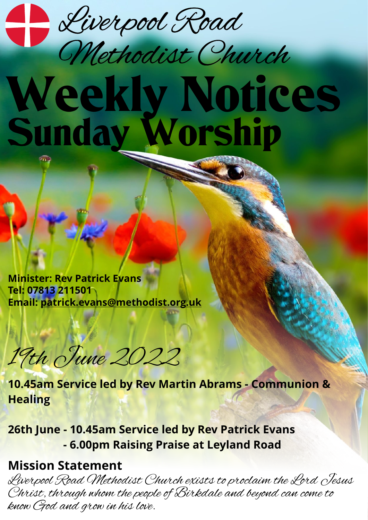

# Weekly Notices Sunday Worship Methodist Church

**Minister: Rev Patrick Evans Tel: 07813 211501 Email: [patrick.evans@methodist.org.uk](mailto:patrick.evans@methodist.org.uk)**

19th June 2022

**10.45am Service led by Rev Martin Abrams - Communion & Healing**

**26th June - 10.45am Service led by Rev Patrick Evans - 6.00pm Raising Praise at Leyland Road**

### **Mission Statement**

Liverpool Road Methodist Church exists to proclaim the Lord Jesus Christ, through whom the people of Birkdale and beyond can come to know God and grow in his love.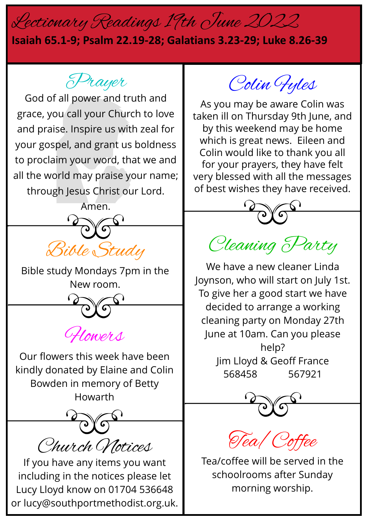## Lectionary Readings 19th June 2022

#### **Isaiah 65.1-9; Psalm 22.19-28; Galatians 3.23-29; Luke 8.26-39**

Prayer

God of all power and truth and grace, you call your Church to love and praise. Inspire us with zeal for your gospel, and grant us boldness to proclaim your word, that we and all the world may praise your name; through Jesus Christ our Lord.



Bible study Mondays 7pm in the New room.

CHowers

Our flowers this week have been kindly donated by Elaine and Colin Bowden in memory of Betty Howarth

Church Notices

If you have any items you want including in the notices please let Lucy Lloyd know on 01704 536648 or lucy@southportmethodist.org.uk.

Colin Fyles

As you may be aware Colin was taken ill on Thursday 9th June, and by this weekend may be home which is great news. Eileen and Colin would like to thank you all for your prayers, they have felt very blessed with all the messages of best wishes they have received.



### Cleaning Party

We have a new cleaner Linda Joynson, who will start on July 1st. To give her a good start we have decided to arrange a working cleaning party on Monday 27th June at 10am. Can you please help? Jim Lloyd & Geoff France 568458 567921



Tea/Coffee

Tea/coffee will be served in the schoolrooms after Sunday morning worship.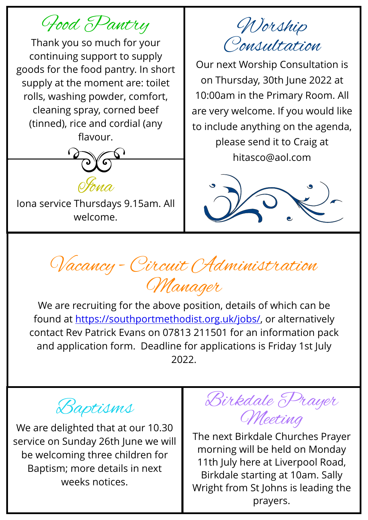Food Pantry

Thank you so much for your continuing support to supply goods for the food pantry. In short supply at the moment are: toilet rolls, washing powder, comfort, cleaning spray, corned beef (tinned), rice and cordial (any flavour.



Iona service Thursdays 9.15am. All welcome.

Worship Consultation

Our next Worship Consultation is on Thursday, 30th June 2022 at 10:00am in the Primary Room. All are very welcome. If you would like to include anything on the agenda, please send it to Craig at hitasco@aol.com



Vacancy - Circuit Administration Manager

We are recruiting for the above position, details of which can be found at <https://southportmethodist.org.uk/jobs/>, or alternatively contact Rev Patrick Evans on 07813 211501 for an information pack and application form. Deadline for applications is Friday 1st July 2022.



We are delighted that at our 10.30 service on Sunday 26th June we will be welcoming three children for Baptism; more details in next weeks notices.



The next Birkdale Churches Prayer morning will be held on Monday 11th July here at Liverpool Road, Birkdale starting at 10am. Sally Wright from St Johns is leading the prayers.